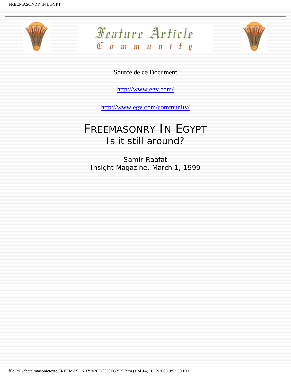





Source de ce Document

<http://www.egy.com/>

<http://www.egy.com/community/>

## FREEMASONRY IN EGYPT Is it still around?

Samir Raafat Insight Magazine, March 1, 1999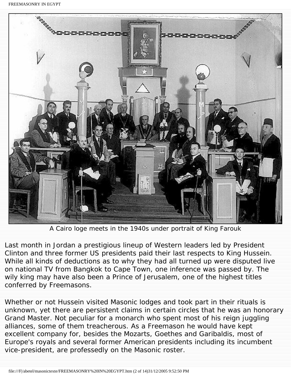FREEMASONRY IN EGYPT



A Cairo loge meets in the 1940s under portrait of King Farouk

Last month in Jordan a prestigious lineup of Western leaders led by President Clinton and three former US presidents paid their last respects to King Hussein. While all kinds of deductions as to why they had all turned up were disputed live on national TV from Bangkok to Cape Town, one inference was passed by. The wily king may have also been a Prince of Jerusalem, one of the highest titles conferred by Freemasons.

Whether or not Hussein visited Masonic lodges and took part in their rituals is unknown, yet there are persistent claims in certain circles that he was an honorary Grand Master. Not peculiar for a monarch who spent most of his reign juggling alliances, some of them treacherous. As a Freemason he would have kept excellent company for, besides the Mozarts, Goethes and Garibaldis, most of Europe's royals and several former American presidents including its incumbent vice-president, are professedly on the Masonic roster.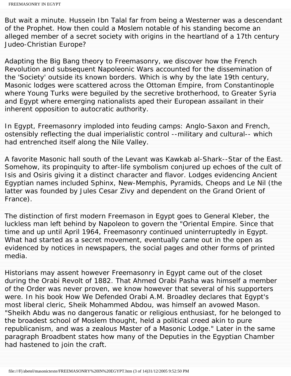But wait a minute. Hussein Ibn Talal far from being a Westerner was a descendant of the Prophet. How then could a Moslem notable of his standing become an alleged member of a secret society with origins in the heartland of a 17th century Judeo-Christian Europe?

Adapting the Big Bang theory to Freemasonry, we discover how the French Revolution and subsequent Napoleonic Wars accounted for the dissemination of the 'Society' outside its known borders. Which is why by the late 19th century, Masonic lodges were scattered across the Ottoman Empire, from Constantinople where Young Turks were beguiled by the secretive brotherhood, to Greater Syria and Egypt where emerging nationalists aped their European assailant in their inherent opposition to autocratic authority.

In Egypt, Freemasonry imploded into feuding camps: Anglo-Saxon and French, ostensibly reflecting the dual imperialistic control --military and cultural-- which had entrenched itself along the Nile Valley.

A favorite Masonic hall south of the Levant was *Kawkab al-Shark*--Star of the East. Somehow, its propinquity to after-life symbolism conjured up echoes of the cult of Isis and Osiris giving it a distinct character and flavor. Lodges evidencing Ancient Egyptian names included Sphinx, New-Memphis, Pyramids, Cheops and Le Nil (the latter was founded by Jules Cesar Zivy and dependent on the Grand Orient of France).

The distinction of first modern Freemason in Egypt goes to General Kleber, the luckless man left behind by Napoleon to govern the "Oriental Empire. Since that time and up until April 1964, Freemasonry continued uninterruptedly in Egypt. What had started as a secret movement, eventually came out in the open as evidenced by notices in newspapers, the social pages and other forms of printed media.

Historians may assent however Freemasonry in Egypt came out of the closet during the Orabi Revolt of 1882. That Ahmed Orabi Pasha was himself a member of the Order was never proven, we know however that several of his supporters were. In his book *How We Defended Orabi* A.M. Broadley declares that Egypt's most liberal cleric, Sheik Mohammed Abdou, was himself an avowed Mason. "Sheikh Abdu was no dangerous fanatic or religious enthusiast, for he belonged to the broadest school of Moslem thought, held a political creed akin to pure republicanism, and was a zealous Master of a Masonic Lodge." Later in the same paragraph Broadbent states how many of the Deputies in the Egyptian Chamber had hastened to join the craft.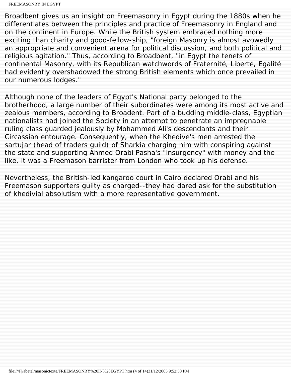Broadbent gives us an insight on Freemasonry in Egypt during the 1880s when he differentiates between the principles and practice of Freemasonry in England and on the continent in Europe. While the British system embraced nothing more exciting than charity and good-fellow-ship, "foreign Masonry is almost avowedly an appropriate and convenient arena for political discussion, and both political and religious agitation." Thus, according to Broadbent, "in Egypt the tenets of continental Masonry, with its Republican watchwords of Fraternité, Liberté, Egalité had evidently overshadowed the strong British elements which once prevailed in our numerous lodges."

Although none of the leaders of Egypt's National party belonged to the brotherhood, a large number of their subordinates were among its most active and zealous members, according to Broadent. Part of a budding middle-class, Egyptian nationalists had joined the Society in an attempt to penetrate an impregnable ruling class guarded jealously by Mohammed Ali's descendants and their Circassian entourage. Consequently, when the Khedive's men arrested the *sartujar* (head of traders guild) of Sharkia charging him with conspiring against the state and supporting Ahmed Orabi Pasha's "insurgency" with money and the like, it was a Freemason barrister from London who took up his defense.

Nevertheless, the British-led kangaroo court in Cairo declared Orabi and his Freemason supporters guilty as charged--they had dared ask for the substitution of khedivial absolutism with a more representative government.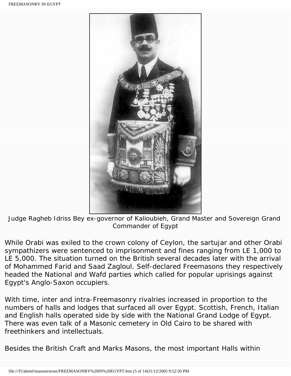

Judge Ragheb Idriss Bey ex-governor of Kalioubieh, Grand Master and Sovereign Grand Commander of Egypt

While Orabi was exiled to the crown colony of Ceylon, the sartujar and other Orabi sympathizers were sentenced to imprisonment and fines ranging from LE 1,000 to LE 5,000. The situation turned on the British several decades later with the arrival of Mohammed Farid and Saad Zagloul. Self-declared Freemasons they respectively headed the National and Wafd parties which called for popular uprisings against Egypt's Anglo-Saxon occupiers.

With time, inter and intra-Freemasonry rivalries increased in proportion to the numbers of halls and lodges that surfaced all over Egypt. Scottish, French, Italian and English halls operated side by side with the National Grand Lodge of Egypt. There was even talk of a Masonic cemetery in Old Cairo to be shared with freethinkers and intellectuals.

Besides the British Craft and Marks Masons, the most important Halls within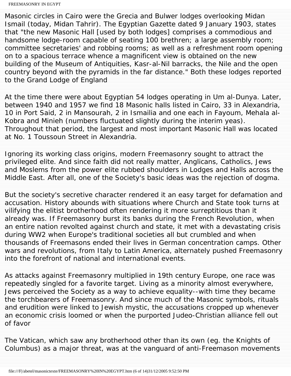Masonic circles in Cairo were the Grecia and Bulwer lodges overlooking Midan Ismail (today, Midan Tahrir). *The Egyptian Gazette* dated 9 January 1903, states that "the new Masonic Hall [used by both lodges] comprises a commodious and handsome lodge-room capable of seating 100 brethren; a large assembly room; committee secretaries' and robbing rooms; as well as a refreshment room opening on to a spacious terrace whence a magnificent view is obtained on the new building of the Museum of Antiquities, Kasr-al-Nil barracks, the Nile and the open country beyond with the pyramids in the far distance." Both these lodges reported to the Grand Lodge of England

At the time there were about Egyptian 54 lodges operating in *Um al-Dunya*. Later, between 1940 and 1957 we find 18 Masonic halls listed in Cairo, 33 in Alexandria, 10 in Port Said, 2 in Mansourah, 2 in Ismailia and one each in Fayoum, Mehala al-Kobra and Minieh (numbers fluctuated slightly during the interim yeas). Throughout that period, the largest and most important Masonic Hall was located at No. 1 Toussoun Street in Alexandria.

Ignoring its working class origins, modern Freemasonry sought to attract the privileged elite. And since faith did not really matter, Anglicans, Catholics, Jews and Moslems from the power elite rubbed shoulders in Lodges and Halls across the Middle East. After all, one of the Society's basic ideas was the rejection of dogma.

But the society's secretive character rendered it an easy target for defamation and accusation. History abounds with situations where Church and State took turns at vilifying the elitist brotherhood often rendering it more surreptitious than it already was. If Freemasonry burst its banks during the French Revolution, when an entire nation revolted against church and state, it met with a devastating crisis during WW2 when Europe's traditional societies all but crumbled and when thousands of Freemasons ended their lives in German concentration camps. Other wars and revolutions, from Italy to Latin America, alternately pushed Freemasonry into the forefront of national and international events.

As attacks against Freemasonry multiplied in 19th century Europe, one race was repeatedly singled for a favorite target. Living as a minority almost everywhere, Jews perceived the Society as a way to achieve equality--with time they became the torchbearers of Freemasonry. And since much of the Masonic symbols, rituals and erudition were linked to Jewish mystic, the accusations cropped up whenever an economic crisis loomed or when the purported Judeo-Christian alliance fell out of favor

The Vatican, which saw any brotherhood other than its own (eg. the Knights of Columbus) as a major threat, was at the vanguard of anti-Freemason movements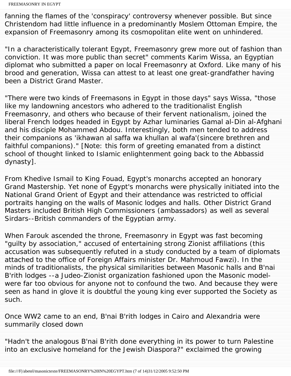fanning the flames of the 'conspiracy' controversy whenever possible. But since Christendom had little influence in a predominantly Moslem Ottoman Empire, the expansion of Freemasonry among its cosmopolitan elite went on unhindered.

"In a characteristically tolerant Egypt, Freemasonry grew more out of fashion than conviction. It was more public than secret" comments Karim Wissa, an Egyptian diplomat who submitted a paper on local Freemasonry at Oxford. Like many of his brood and generation, Wissa can attest to at least one great-grandfather having been a District Grand Master.

"There were two kinds of Freemasons in Egypt in those days" says Wissa, "those like my landowning ancestors who adhered to the traditionalist English Freemasonry, and others who because of their fervent nationalism, joined the liberal French lodges headed in Egypt by Azhar luminaries Gamal al-Din al-Afghani and his disciple Mohammed Abdou. Interestingly, both men tended to address their companions as '*ikhawan al saffa wa khullan al wafa*'(sincere brethren and faithful companions)." [Note: this form of greeting emanated from a distinct school of thought linked to Islamic enlightenment going back to the Abbassid dynasty].

From Khedive Ismail to King Fouad, Egypt's monarchs accepted an honorary Grand Mastership. Yet none of Egypt's monarchs were physically initiated into the National Grand Orient of Egypt and their attendance was restricted to official portraits hanging on the walls of Masonic lodges and halls. Other District Grand Masters included British High Commissioners (ambassadors) as well as several Sirdars--British commanders of the Egyptian army.

When Farouk ascended the throne, Freemasonry in Egypt was fast becoming "guilty by association," accused of entertaining strong Zionist affiliations (this accusation was subsequently refuted in a study conducted by a team of diplomats attached to the office of Foreign Affairs minister Dr. Mahmoud Fawzi). In the minds of traditionalists, the physical similarities between Masonic halls and B'nai B'rith lodges --a Judeo-Zionist organization fashioned upon the Masonic modelwere far too obvious for anyone not to confound the two. And because they were seen as hand in glove it is doubtful the young king ever supported the Society as such.

Once WW2 came to an end, B'nai B'rith lodges in Cairo and Alexandria were summarily closed down

"Hadn't the analogous B'nai B'rith done everything in its power to turn Palestine into an exclusive homeland for the Jewish Diaspora?" exclaimed the growing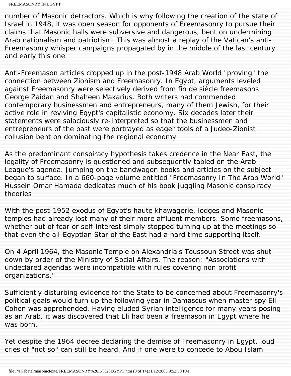number of Masonic detractors. Which is why following the creation of the state of Israel in 1948, it was open season for opponents of Freemasonry to pursue their claims that Masonic halls were subversive and dangerous, bent on undermining Arab nationalism and patriotism. This was almost a replay of the Vatican's anti-Freemasonry whisper campaigns propagated by in the middle of the last century and early this one

Anti-Freemason articles cropped up in the post-1948 Arab World "proving" the connection between Zionism and Freemasonry. In Egypt, arguments leveled against Freemasonry were selectively derived from fin de siècle freemasons George Zaidan and Shaheen Makarius. Both writers had commended contemporary businessmen and entrepreneurs, many of them Jewish, for their active role in reviving Egypt's capitalistic economy. Six decades later their statements were salaciously re-interpreted so that the businessmen and entrepreneurs of the past were portrayed as eager tools of a Judeo-Zionist collusion bent on dominating the regional economy

As the predominant conspiracy hypothesis takes credence in the Near East, the legality of Freemasonry is questioned and subsequently tabled on the Arab League's agenda. Jumping on the bandwagon books and articles on the subject began to surface. In a 660-page volume entitled "Freemasonry In The Arab World" Hussein Omar Hamada dedicates much of his book juggling Masonic conspiracy theories

With the post-1952 exodus of Egypt's *haute khawagerie*, lodges and Masonic temples had already lost many of their more affluent members. Some freemasons, whether out of fear or self-interest simply stopped turning up at the meetings so that even the all-Egyptian Star of the East had a hard time supporting itself.

On 4 April 1964, the Masonic Temple on Alexandria's Toussoun Street was shut down by order of the Ministry of Social Affairs. The reason: "Associations with undeclared agendas were incompatible with rules covering non profit organizations."

Sufficiently disturbing evidence for the State to be concerned about Freemasonry's political goals would turn up the following year in Damascus when master spy Eli Cohen was apprehended. Having eluded Syrian intelligence for many years posing as an Arab, it was discovered that Eli had been a freemason in Egypt where he was born.

Yet despite the 1964 decree declaring the demise of Freemasonry in Egypt, loud cries of "not so" can still be heard. And if one were to concede to Abou Islam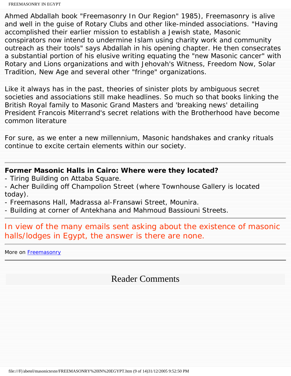Ahmed Abdallah book "Freemasonry In Our Region" 1985), Freemasonry is alive and well in the guise of Rotary Clubs and other like-minded associations. "Having accomplished their earlier mission to establish a Jewish state, Masonic conspirators now intend to undermine Islam using charity work and community outreach as their tools" says Abdallah in his opening chapter. He then consecrates a substantial portion of his elusive writing equating the "new Masonic cancer" with Rotary and Lions organizations and with Jehovah's Witness, Freedom Now, Solar Tradition, New Age and several other "fringe" organizations.

Like it always has in the past, theories of sinister plots by ambiguous secret societies and associations still make headlines. So much so that books linking the British Royal family to Masonic Grand Masters and 'breaking news' detailing President Francois Miterrand's secret relations with the Brotherhood have become common literature

For sure, as we enter a new millennium, Masonic handshakes and cranky rituals continue to excite certain elements within our society.

## **Former Masonic Halls in Cairo: Where were they located?**

- Tiring Building on Attaba Square.
- Acher Building off Champolion Street (where Townhouse Gallery is located today).
- Freemasons Hall, Madrassa al-Fransawi Street, Mounira.
- Building at corner of Antekhana and Mahmoud Bassiouni Streets.

In view of the many emails sent asking about the existence of masonic halls/lodges in Egypt, the answer is there are none.

More on [Freemasonry](http://web.mit.edu/dryfoo/www/Masons/index.html)

## Reader Comments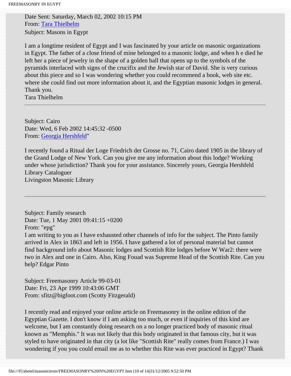Date Sent: Saturday, March 02, 2002 10:15 PM From: [Tara Thielhelm](mailto:tarathi@hotmail.com) Subject: Masons in Egypt

I am a longtime resident of Egypt and I was fascinated by your article on masonic organizations in Egypt. The father of a close friend of mine belonged to a masonic lodge, and when h e died he left her a piece of jewelry in the shape of a golden ball that opens up to the symbols of the pyramids interlaced with signs of the crucifix and the Jewish star of David. She is very curious about this piece and so I was wondering whether you could recommend a book, web site etc. where she could find out more information about it, and the Egyptian masonic lodges in general. Thank you.

Tara Thielhelm

Subject: Cairo Date: Wed, 6 Feb 2002 14:45:32 -0500 From: [Georgia Hershfeld"](mailto:ghershfeld@pipeline.com)

I recently found a Ritual der Loge Friedrich der Grosse no. 71, Cairo dated 1905 in the library of the Grand Lodge of New York. Can you give me any information about this lodge? Working under whose jurisdiction? Thank you for your assistance. Sincerely yours, Georgia Hershfeld Library Cataloguer Livingston Masonic Library

Subject: Family research Date: Tue, 1 May 2001 09:41:15 +0200 From: "epg" I am writing to you as I have exhausted other channels of info for the subject. The Pinto family arrived in Alex in 1863 and left in 1956. I have gathered a lot of personal material but cannot find background info about Masonic lodges and Scottish Rite lodges before W War2: there were two in Alex and one in Cairo. Also, King Fouad was Supreme Head of the Scottish Rite. Can you help? Edgar Pinto

Subject: Freemasonry Article 99-03-01 Date: Fri, 23 Apr 1999 10:43:06 GMT From: sfitz@bigfoot.com (Scotty Fitzgerald)

I recently read and enjoyed your online article on Freemasonry in the online edition of the Egyptian Gazette. I don't know if I am asking too much, or even if inquiries of this kind are welcome, but I am constantly doing research on a no longer practiced body of masonic ritual known as "Memphis." It was not likely that this body originated in that famous city, but it was styled to have originated in that city (a lot like "Scottish Rite" really comes from France.) I was wondering if you you could email me as to whether this Rite was ever practiced in Egypt? Thank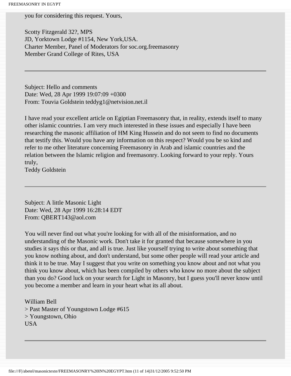you for considering this request. Yours,

Scotty Fitzgerald 32?, MPS JD, Yorktown Lodge #1154, New York,USA. Charter Member, Panel of Moderators for soc.org.freemasonry Member Grand College of Rites, USA

Subject: Hello and comments Date: Wed, 28 Apr 1999 19:07:09 +0300 From: Touvia Goldstein teddyg1@netvision.net.il

I have read your excellent article on Egiptian Freemasonry that, in reality, extends itself to many other islamic countries. I am very much interested in these issues and especially I have been researching the masonic affiliation of HM King Hussein and do not seem to find no documents that testify this. Would you have any information on this respect? Would you be so kind and refer to me other literature concerning Freemasonry in Arab and islamic countries and the relation between the Islamic religion and freemasonry. Looking forward to your reply. Yours truly,

Teddy Goldstein

Subject: A little Masonic Light Date: Wed, 28 Apr 1999 16:28:14 EDT From: QBERT143@aol.com

You will never find out what you're looking for with all of the misinformation, and no understanding of the Masonic work. Don't take it for granted that because somewhere in you studies it says this or that, and all is true. Just like yourself trying to write about something that you know nothing about, and don't understand, but some other people will read your article and think it to be true. May I suggest that you write on something you know about and not what you think you know about, which has been compiled by others who know no more about the subject than you do? Good luck on your search for Light in Masonry, but I guess you'll never know until you become a member and learn in your heart what its all about.

William Bell > Past Master of Youngstown Lodge #615 > Youngstown, Ohio USA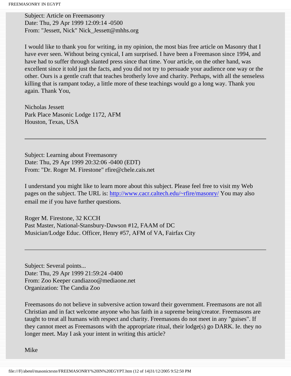Subject: Article on Freemasonry Date: Thu, 29 Apr 1999 12:09:14 -0500 From: "Jessett, Nick" Nick\_Jessett@mhhs.org

I would like to thank you for writing, in my opinion, the most bias free article on Masonry that I have ever seen. Without being cynical, I am surprised. I have been a Freemason since 1994, and have had to suffer through slanted press since that time. Your article, on the other hand, was excellent since it told just the facts, and you did not try to persuade your audience one way or the other. Ours is a gentle craft that teaches brotherly love and charity. Perhaps, with all the senseless killing that is rampant today, a little more of these teachings would go a long way. Thank you again. Thank You,

Nicholas Jessett Park Place Masonic Lodge 1172, AFM Houston, Texas, USA

Subject: Learning about Freemasonry Date: Thu, 29 Apr 1999 20:32:06 -0400 (EDT) From: "Dr. Roger M. Firestone" rfire@chele.cais.net

I understand you might like to learn more about this subject. Please feel free to visit my Web pages on the subject. The URL is: <http://www.cacr.caltech.edu/~rfire/masonry/>You may also email me if you have further questions.

Roger M. Firestone, 32 KCCH Past Master, National-Stansbury-Dawson #12, FAAM of DC Musician/Lodge Educ. Officer, Henry #57, AFM of VA, Fairfax City

Subject: Several points... Date: Thu, 29 Apr 1999 21:59:24 -0400 From: Zoo Keeper candiazoo@mediaone.net Organization: The Candia Zoo

Freemasons do not believe in subversive action toward their government. Freemasons are not all Christian and in fact welcome anyone who has faith in a supreme being/creator. Freemasons are taught to treat all humans with respect and charity. Freemasons do not meet in any "guises". If they cannot meet as Freemasons with the appropriate ritual, their lodge(s) go DARK. Ie. they no longer meet. May I ask your intent in writing this article?

Mike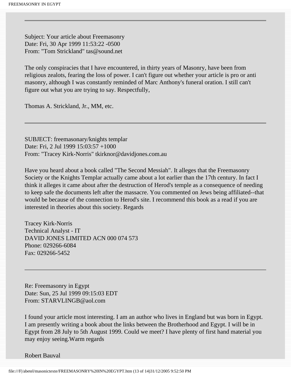Subject: Your article about Freemasonry Date: Fri, 30 Apr 1999 11:53:22 -0500 From: "Tom Strickland" tas@sound.net

The only conspiracies that I have encountered, in thirty years of Masonry, have been from religious zealots, fearing the loss of power. I can't figure out whether your article is pro or anti masonry, although I was constantly reminded of Marc Anthony's funeral oration. I still can't figure out what you are trying to say. Respectfully,

Thomas A. Strickland, Jr., MM, etc.

SUBJECT: freemasonary/knights templar Date: Fri, 2 Jul 1999 15:03:57 +1000 From: "Tracey Kirk-Norris" tkirknor@davidjones.com.au

Have you heard about a book called "The Second Messiah". It alleges that the Freemasonry Society or the Knights Templar actually came about a lot earlier than the 17th century. In fact I think it alleges it came about after the destruction of Herod's temple as a consequence of needing to keep safe the documents left after the massacre. You commented on Jews being affiliated--that would be because of the connection to Herod's site. I recommend this book as a read if you are interested in theories about this society. Regards

Tracey Kirk-Norris Technical Analyst - IT DAVID JONES LIMITED ACN 000 074 573 Phone: 029266-6084 Fax: 029266-5452

Re: Freemasonry in Egypt Date: Sun, 25 Jul 1999 09:15:03 EDT From: STARVLINGB@aol.com

I found your article most interesting. I am an author who lives in England but was born in Egypt. I am presently writing a book about the links between the Brotherhood and Egypt. I will be in Egypt from 28 July to 5th August 1999. Could we meet? I have plenty of first hand material you may enjoy seeing.Warm regards

Robert Bauval